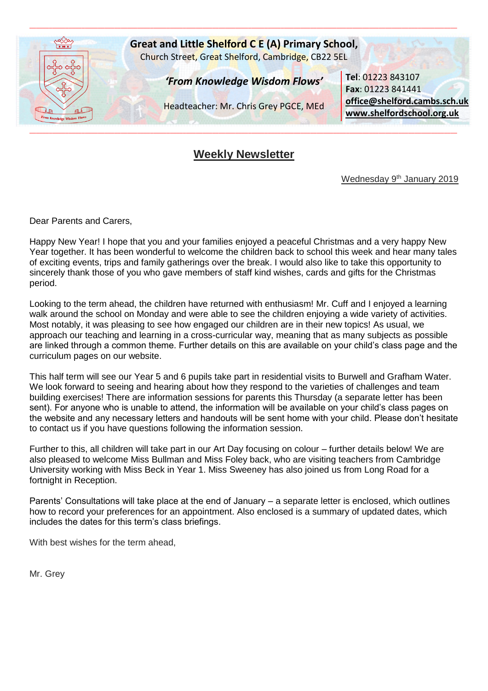

# **Weekly Newsletter**

Wednesday 9<sup>th</sup> January 2019

Dear Parents and Carers,

Happy New Year! I hope that you and your families enjoyed a peaceful Christmas and a very happy New Year together. It has been wonderful to welcome the children back to school this week and hear many tales of exciting events, trips and family gatherings over the break. I would also like to take this opportunity to sincerely thank those of you who gave members of staff kind wishes, cards and gifts for the Christmas period.

Looking to the term ahead, the children have returned with enthusiasm! Mr. Cuff and I enjoyed a learning walk around the school on Monday and were able to see the children enjoying a wide variety of activities. Most notably, it was pleasing to see how engaged our children are in their new topics! As usual, we approach our teaching and learning in a cross-curricular way, meaning that as many subjects as possible are linked through a common theme. Further details on this are available on your child's class page and the curriculum pages on our website.

This half term will see our Year 5 and 6 pupils take part in residential visits to Burwell and Grafham Water. We look forward to seeing and hearing about how they respond to the varieties of challenges and team building exercises! There are information sessions for parents this Thursday (a separate letter has been sent). For anyone who is unable to attend, the information will be available on your child's class pages on the website and any necessary letters and handouts will be sent home with your child. Please don't hesitate to contact us if you have questions following the information session.

Further to this, all children will take part in our Art Day focusing on colour – further details below! We are also pleased to welcome Miss Bullman and Miss Foley back, who are visiting teachers from Cambridge University working with Miss Beck in Year 1. Miss Sweeney has also joined us from Long Road for a fortnight in Reception.

Parents' Consultations will take place at the end of January – a separate letter is enclosed, which outlines how to record your preferences for an appointment. Also enclosed is a summary of updated dates, which includes the dates for this term's class briefings.

With best wishes for the term ahead,

Mr. Grey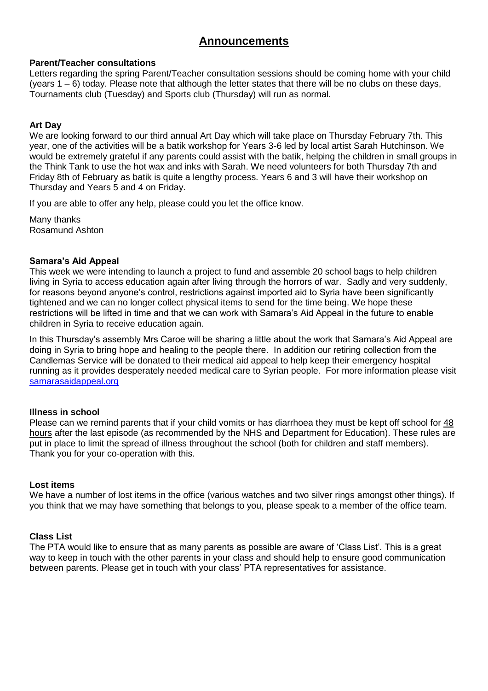## **Announcements**

## **Parent/Teacher consultations**

Letters regarding the spring Parent/Teacher consultation sessions should be coming home with your child (years 1 – 6) today. Please note that although the letter states that there will be no clubs on these days, Tournaments club (Tuesday) and Sports club (Thursday) will run as normal.

## **Art Day**

We are looking forward to our third annual Art Day which will take place on Thursday February 7th. This year, one of the activities will be a batik workshop for Years 3-6 led by local artist Sarah Hutchinson. We would be extremely grateful if any parents could assist with the batik, helping the children in small groups in the Think Tank to use the hot wax and inks with Sarah. We need volunteers for both Thursday 7th and Friday 8th of February as batik is quite a lengthy process. Years 6 and 3 will have their workshop on Thursday and Years 5 and 4 on Friday.

If you are able to offer any help, please could you let the office know.

Many thanks Rosamund Ashton

## **Samara's Aid Appeal**

This week we were intending to launch a project to fund and assemble 20 school bags to help children living in Syria to access education again after living through the horrors of war. Sadly and very suddenly, for reasons beyond anyone's control, restrictions against imported aid to Syria have been significantly tightened and we can no longer collect physical items to send for the time being. We hope these restrictions will be lifted in time and that we can work with Samara's Aid Appeal in the future to enable children in Syria to receive education again.

In this Thursday's assembly Mrs Caroe will be sharing a little about the work that Samara's Aid Appeal are doing in Syria to bring hope and healing to the people there. In addition our retiring collection from the Candlemas Service will be donated to their medical aid appeal to help keep their emergency hospital running as it provides desperately needed medical care to Syrian people. For more information please visit [samarasaidappeal.org](http://samarasaidappeal.org/)

## **Illness in school**

Please can we remind parents that if your child vomits or has diarrhoea they must be kept off school for 48 hours after the last episode (as recommended by the NHS and Department for Education). These rules are put in place to limit the spread of illness throughout the school (both for children and staff members). Thank you for your co-operation with this.

## **Lost items**

We have a number of lost items in the office (various watches and two silver rings amongst other things). If you think that we may have something that belongs to you, please speak to a member of the office team.

## **Class List**

The PTA would like to ensure that as many parents as possible are aware of 'Class List'. This is a great way to keep in touch with the other parents in your class and should help to ensure good communication between parents. Please get in touch with your class' PTA representatives for assistance.